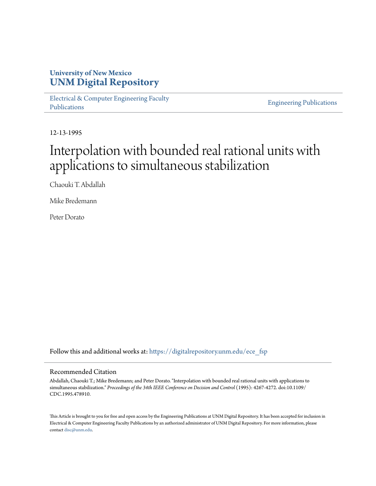### **University of New Mexico [UNM Digital Repository](https://digitalrepository.unm.edu?utm_source=digitalrepository.unm.edu%2Fece_fsp%2F40&utm_medium=PDF&utm_campaign=PDFCoverPages)**

[Electrical & Computer Engineering Faculty](https://digitalrepository.unm.edu/ece_fsp?utm_source=digitalrepository.unm.edu%2Fece_fsp%2F40&utm_medium=PDF&utm_campaign=PDFCoverPages) [Publications](https://digitalrepository.unm.edu/ece_fsp?utm_source=digitalrepository.unm.edu%2Fece_fsp%2F40&utm_medium=PDF&utm_campaign=PDFCoverPages)

[Engineering Publications](https://digitalrepository.unm.edu/eng_fsp?utm_source=digitalrepository.unm.edu%2Fece_fsp%2F40&utm_medium=PDF&utm_campaign=PDFCoverPages)

12-13-1995

# Interpolation with bounded real rational units with applications to simultaneous stabilization

Chaouki T. Abdallah

Mike Bredemann

Peter Dorato

Follow this and additional works at: [https://digitalrepository.unm.edu/ece\\_fsp](https://digitalrepository.unm.edu/ece_fsp?utm_source=digitalrepository.unm.edu%2Fece_fsp%2F40&utm_medium=PDF&utm_campaign=PDFCoverPages)

#### Recommended Citation

Abdallah, Chaouki T.; Mike Bredemann; and Peter Dorato. "Interpolation with bounded real rational units with applications to simultaneous stabilization." *Proceedings of the 34th IEEE Conference on Decision and Control* (1995): 4267-4272. doi:10.1109/ CDC.1995.478910.

This Article is brought to you for free and open access by the Engineering Publications at UNM Digital Repository. It has been accepted for inclusion in Electrical & Computer Engineering Faculty Publications by an authorized administrator of UNM Digital Repository. For more information, please contact [disc@unm.edu.](mailto:disc@unm.edu)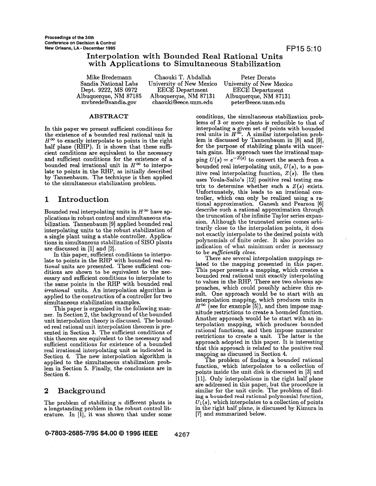#### **Interpolation with Bounded Real Rational Units with Applications to Simultaneous Stabilization**

Mike Bredemann Chaouki T. Abdallah Peter Dorato Dept. 9222, MS 0972 EECE Department EECE Department Albuquerque, NM 87185 Albuquerque, NM 87131 Albuquerque, NM 87131 chaouki@eece.unm. edu

iversity of New Mexico University of New Mexico EECE Department

#### **ABSTRACT**

In this paper we present sufficient conditions for the existence of a bounded real rational unit in  $H^{\infty}$  to exactly interpolate to points in the right half plane (RHP). It is shown that these sufficient conditions are equivalent to the necessary and sufficient conditions for the existence of a bounded real irrational unit in  $H^{\infty}$  to interpolate to points in the RHP, as initially described by Tannenbaum. The technique is then applied to the simultaneous stabilization problem.

#### **1 Introduction**

Bounded real interpolating units in  $H^{\infty}$  have applications in robust control and simultaneous stabilization. Tannenbaum [9] applied bounded real interpolating units to the robust stabilization of a single plant using a stable controller. Applications in simultaneous stabilization of SISO plants are discussed in [I] and [2].

In this paper, sufficient conditions to interpolate to points in the RHP with bounded real *rational* units are presented. These sufficient conditions are shown to be equivalent to the necessary and sufficient conditions to interpolate to the same points in the RHP with bounded real *irrational* units. An interpolation algorithm **is**  applied to the construction of a controller for two simultaneous stabilization examples.

This paper is organized in the following manner. In Section 2, the background of the bounded unit interpolation theory is discussed. The bounded real rational unit interpolation theorem is presented in Section **3.** The sufficient conditions of this theorem are equivalent to the necessary and sufficient conditions for existence of a bounded real irrational interpolating unit as indicated in Section **4.** The new interpolation algorithm is applied to the simultaneous stabilization problem in Section *5.* Finally, the conclusions are in Section *6.* 

#### **2 Background**

The problem of stabilizing  $n$  different plants is a longstanding problem in the robust control literature. In [l], it was shown that under some

conditions, the simultaneous stabilization problems of **3** or more plants is reducible to that of interpolating a given set of points with bounded real units in  $H^{\infty}$ . A similar interpolation problem is discussed by Tannenbaum in [8] and [9], for the purpose of stabilzing plants with uncertain gains. His approach uses the irrational mapping  $U(s) = e^{-\overline{Z(s)}}$  to convert the search from a bounded real interpolating unit,  $U(s)$ , to a positive real interpolating function,  $Z(s)$ . He then uses Youla-Saito's [12] positive real testing matrix to determine whether such a  $Z(s)$  exists. Unfortunately, this leads to an irrational controller, which can only be realized using a rational approximation. Ganesh and Pearson [6] describe such a rational approximation through the truncation of the infinite Taylor series expansion. Although the truncated series comes arbitrarily close to the interpolation points, it does not exactly interpolate to the desired points with polynomials of finite order. It also provides no indication of what minimum order is necessary to be *suficiently close.* 

lated to the mapping presented in this paper. This paper presents a mapping, which creates a bounded real rational unit exactly interpolating to values in the RHP. There are two obvious ap proaches, which could possibly achieve this **re**sult. One approach would be to start with an interpolation mapping, which produces units in  $H^{\infty}$  (see for example [5]), and then impose magnitude restrictions to create a bounded function. Another approach would be to start with an interpolation mapping, which produces bounded rational functions, and then impose numerator restrictions to create a unit. The latter is the approach adopted in this paper. It is interesting that this approach is related to the positive real mapping as discussed in Section **4.** 

The problem of finding a bounded rational function, which interpolates to a collection of points inside the unit disk is discussed in [3] and [ll]. Only interpolations in the right half plane are addressed in this paper, but the procedure is similar for the unit circle. The problem of find**ing** a **bounded real rational polynomial** function,  $U_1(s)$ , which interpolates to a collection of points in the right half plane, is discussed by Kimura in [7] and summarized below.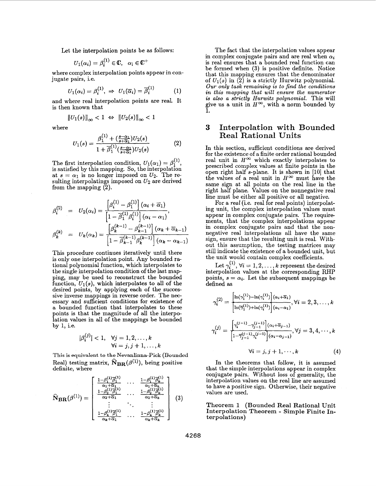Let the interpolation points be as follows:

$$
U_1(\alpha_i)=\beta_i^{(1)}\in\mathbb{C},\quad \alpha_i\in\mathbb{C}^+
$$

where complex interpolation points appear in conjugate pairs, i.e.

$$
U_1(\alpha_i) = \beta_i^{(1)}, \implies U_1(\overline{\alpha}_i) = \overline{\beta}_i^{(1)} \tag{1}
$$

and where real interpolation points are reaL It is then known that

$$
||U_1(s)||_{\infty} < 1 \ \Leftrightarrow \ ||U_2(s)||_{\infty} < 1
$$

 $\mathbf{r}$ 

where

$$
U_1(s) = \frac{\beta_1^{(1)} + (\frac{s-\alpha_1}{s+\overline{\alpha}_1})U_2(s)}{1 + \overline{\beta}_1^{(1)}(\frac{s-\alpha_1}{s+\overline{\alpha}_1})U_2(s)}
$$
(2)

The first interpolation condition,  $U_1(\alpha_1) = \beta_1^{(1)}$ , is satisfied by this mapping. So, the interpolation at  $s = \alpha_1$  is no longer imposed on  $U_2$ . The resulting interpolatings imposed on  $U_2$  are derived from the mapping  $(2)$ .

$$
\beta_i^{(2)} = U_2(\alpha_i) = \frac{\left[\beta_i^{(1)} - \beta_1^{(1)}\right](\alpha_i + \overline{\alpha}_1)}{\left[1 - \overline{\beta}_1^{(1)}\beta_i^{(1)}\right](\alpha_i - \alpha_1)},
$$
\n
$$
\beta_k^{(k)} = U_k(\alpha_k) = \frac{\left[\beta_k^{(k-1)} - \beta_{k-1}^{(k-1)}\right](\alpha_k + \overline{\alpha}_{k-1})}{\left[1 - \overline{\beta}_{k-1}^{(k-1)}\beta_k^{(k-1)}\right](\alpha_k - \alpha_{k-1})}
$$

This procedure continues iteratively until there is only one interpolation point. Any bounded rational polynomial function, which interpolates to the single interpolation condition of the last map ping, may be used to reconstruct the bounded function,  $U_1(s)$ , which interpolates to all of the desired points, by applying each **of** the successive inverse mappings in reverse order. The necessary and sufficient conditions for existence of a bounded function that interpolates to these points is that the magnitude of all the interpolation values in all of the mappings be bounded by 1, i.e.

$$
|\beta_i^{(j)}| < 1, \quad \forall j = 1, 2, \dots, k
$$

$$
\forall i = j, j + 1, \dots, k
$$

This **is equivalent to the Nevanlinna-Pick (Bounded**  Real) testing matrix,  $\widehat{\mathbf{N}}_{\mathbf{BR}}(\beta^{(1)})$ , being positive definite, where

$$
\widehat{\mathbf{N}}_{\mathbf{BR}}(\boldsymbol{\beta}^{(1)}) = \begin{bmatrix}\n\frac{1-\beta_1^{(1)}\overline{\beta}_1^{(1)}}{\alpha_1 + \overline{\alpha}_1} & \cdots & \frac{1-\beta_1^{(1)}\overline{\beta}_k^{(1)}}{\alpha_1 + \overline{\alpha}_k} \\
\frac{1-\beta_2^{(1)}\overline{\beta}_1^{(1)}}{\alpha_2 + \overline{\alpha}_1} & \cdots & \frac{1-\beta_2^{(1)}\overline{\beta}_k^{(1)}}{\alpha_2 + \overline{\alpha}_k} \\
\vdots & \ddots & \vdots \\
\frac{1-\beta_k^{(1)}\overline{\beta}_1^{(1)}}{\alpha_k + \overline{\alpha}_1} & \cdots & \frac{1-\beta_k^{(1)}\overline{\beta}_k^{(1)}}{\alpha_k + \overline{\alpha}_k}\n\end{bmatrix} (3)
$$

The fact that the interpolation values appear in complex conjugate pairs and are real when *ai*  is real ensures that a bounded real function can be formed when **(3)** is positive definite. Notice that this mapping ensures that the denominator of  $U_1(s)$  in  $(2)$  is a strictly Hurwitz polynomial. *Our only task remaining is to find the conditions in this mapping that will ensure the numerator is also a strictly Hurwitz polynomial.* This will give us a unit in  $H^{\infty}$ , with a norm bounded by **1.** 

#### **3 Interpolation with Bounded Real Rational Units**

In this section, sufficient conditions are derived for the existence of a finite order rational bounded real unit in  $H^{\infty}$  which exactly interpolates to prescribed complex values at finite points in the open right half  $s$ -plane. It is shown in  $[10]$  that the values of a real unit in  $H^{\infty}$  must have the same sign at all points on the real line in the right half plane. Values on the nonnegative real line must be either all positive or all negative.

For a *real* (i.e. real for real points) interpolating unit, the complex interpolation values must appear in complex conjugate pairs. The requirements, that the complex interpolations appear in complex conjugate pairs and that the nonnegative real interpolations all have the same sign, ensure that the resulting unit is real. Without this assumption, the testing matrices may still indicate the existence of a bounded unit, but the unit would contain complex coefficients.

Let  $\gamma_i^{(1)}, \forall i = 1,2,\ldots,k$  represent the desired points,  $s = \alpha_i$ . Let the subsequent mappings be defined **as** 

interpolation values at the corresponding RHP points, 
$$
s = \alpha_i
$$
. Let the subsequent mappings be defined as  
\n
$$
\gamma_i^{(2)} = \frac{\left[\ln(\gamma_1^{(1)}) - \ln(\gamma_i^{(1)})\right](\alpha_i + \overline{\alpha}_1)}{\left[\ln(\overline{\gamma}_1^{(1)}) + \ln(\gamma_i^{(1)})\right](\alpha_i - \alpha_1)}, \forall i = 2, 3, ..., k
$$
\n
$$
\gamma_i^{(j)} = \frac{\left[\gamma_i^{(j-1)} - \gamma_{j-1}^{(j-1)}\right](\alpha_i + \overline{\alpha}_{j-1})}{\left[\frac{\gamma_{j-1}^{(j-1)}\gamma_{j}^{(j-1)}\right](\alpha_i - \alpha_{j-1})}, \forall j = 3, 4, ..., k
$$
\n
$$
\forall i = j, j + 1, ..., k \qquad (4)
$$

In the theorems that follow, it is assumed that the simple interpolations appear in complex conjugate pairs. Without loss of generality, the interpolation values on the real line are assumed to have a positive sign. Otherwise, their negative values are used.

Theorem 1 (Bounded Real Rational Unit Interpolation Theorem - Simple Finite Interpolations)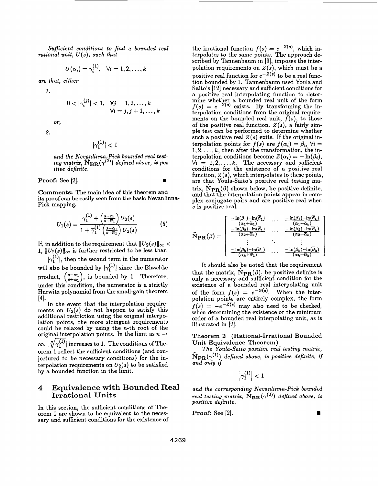*Suficient conditions to find a bounded real rational unit, U(s), such that* 

$$
U(\alpha_i)=\gamma_i^{(1)},\ \ \, \forall i=1,2,\ldots,k
$$

*are that, either* 

*1.* 

$$
0 < |\gamma_i^{(j)}| < 1, \quad \forall j = 1, 2, \dots, k
$$

$$
\forall i = j, j + 1, \dots, k
$$

**2.** 

or,

$$
|\gamma_1^{(1)}|<1
$$

 $i$  and the Nevanlinna-Pick bounded real test-<br>ing matrix,  $\mathrm{N_{BR}}(\gamma^{(2)})$  defined above, is pos*itive definite.* 

**Proof:** See [2].

**Comments:** The main idea of this theorem and its proof can be easily seen from the basic Nevanlinna-Pick mapping.

$$
U_1(s) = \frac{\gamma_1^{(1)} + \left(\frac{s-\alpha_1}{s+\overline{\alpha}_1}\right)U_2(s)}{1 + \overline{\gamma}_1^{(1)}\left(\frac{s-\alpha_1}{s+\overline{\alpha}_1}\right)U_2(s)}\tag{5}
$$

If, in addition to the requirement that  $||U_2(s)||_{\infty}$  < 1,  $||U_2(s)||_{\infty}$  is further restricted to be less than  $\frac{1}{2}$   $\left(\frac{1}{2}\right)$ , then the second term in the numerator

will also be bounded by  $|\gamma_1^{(1)}|$  since the Blaschke<br>product,  $\left(\frac{s-\alpha_1}{s+\overline{\alpha}_1}\right)$ , is bounded by 1. Therefore, under this condition, the numerator is a strictly Hurwitz polynomial from the small-gain theorem  $[4].$ 

In the event that the interpolation requirements on  $U_2(s)$  do not happen to satisfy this additional restriction using the original interpolation points, the more stringent requirements could be relaxed by using the n-th root of the original interpolation points. In the limit as  $n \rightarrow$ orem 1 reflect the sufficient conditions (and conjectured to be necessary conditions) for the interpolation requirements on  $U_2(s)$  to be satisfied by a bounded function in the limit.  $\infty$ ,  $\lfloor \sqrt[n]{\gamma_1^{(1)}} \rfloor$  increases to 1. The conditions of The-

#### **4 Equivalence with Bounded Real Irrational Units**

In this section, the sufficient conditions of Theorem 1 are shown to be equivalent to the necessary and sufficient conditions for the existence of

the irrational function  $f(s) = e^{-Z(s)}$ , which interpolates to the same points. The approach described by Tannenbaum in **[9],** imposes the interpolation requirements on  $Z(s)$ , which must be a positive real function for  $e^{-\dot{Z}(s)}$  to be a real function bounded by 1. Tannenbaum used Youla and Saito's [12] necessary and sufficient conditions for a positive real interpolating function to determine whether a bounded real unit of the form  $f(s) = e^{-Z(s)}$  exists. By transforming the interpolation conditions from the original require ments on the bounded real unit,  $f(s)$ , to those of the positive real function, *Z(s),* a fairly simple test can be performed to determine whether such a positive real  $Z(s)$  exits. If the original interpolation points for  $f(s)$  are  $f(\alpha_i) = \beta_i$ ,  $\forall i =$  $1, 2, \ldots, k$ , then after the transformation, the interpolation conditions become  $Z(\alpha_i) = -\ln(\beta_i)$ ,  $\forall i = 1, 2, \ldots, k$ . The necessary and sufficient conditions for the existence of a positive real function,  $Z(s)$ , which interpolates to these points, are that Youla-Saito's positive real testing matrix,  $N_{PR}(\beta)$  shown below, be positive definite. and that the interpolation points appear in complex conjugate pairs and are positive real when s **is** positive real.

$$
\widehat{\mathbf{N}}_{\mathbf{PR}}(\boldsymbol{\beta}) = \left[ \begin{array}{cccc} \frac{-\ln(\beta_1) - \ln(\overline{\beta}_1)}{(\alpha_1 + \overline{\alpha}_1)} & \cdots & \frac{-\ln(\beta_1) - \ln(\overline{\beta}_k)}{(\alpha_1 + \overline{\alpha}_k)} \\ \frac{-\ln(\beta_2) - \ln(\overline{\beta}_1)}{(\alpha_2 + \overline{\alpha}_1)} & \cdots & \frac{-\ln(\beta_2) - \ln(\overline{\beta}_k)}{(\alpha_2 + \overline{\alpha}_k)} \\ \vdots & \ddots & \vdots \\ \frac{-\ln(\beta_k) - \ln(\overline{\beta}_1)}{(\alpha_k + \overline{\alpha}_1)} & \cdots & \frac{-\ln(\beta_k) - \ln(\overline{\beta}_k)}{(\alpha_k + \overline{\alpha}_k)} \end{array} \right]
$$

It should also be noted that the requirement that the matrix,  $\widehat{\mathbf{N}}_{\mathbf{PR}}(\beta)$ , be positive definite is only a necessary and sufficient condition for the existence of a bounded real interpolating unit of the form  $f(s) = e^{-Z(s)}$ . When the interpolation points are entirely complex, the form  $f(s) = -e^{-Z(s)}$  may also need to be checked, when determining the existence or the minimum order of a bounded real interpolating unit, as is illustrated in [2].

## **Theorem 2 (Rational-Irrational Bounded**

Unit Equivalence Theorem)<br>
The Youla-Saito positive real<br>  $\hat{N}$  (b) defined above, is not *The Youla-Saito positive real testing matrix,*   $\widehat{N}_{\mathbf{PR}}(\gamma^{(1)})$  *defined above, is positive definite, if and only if* 

 $\left|\gamma_{1}^{(1)}\right|<1$ 

and the corresponding Nevanlinna-Pick bounded *real testing matrix,*  $\widehat{N}_{\text{BR}}(\gamma^{(2)})$  *defined above, is positive definite.* 

**Proof:** See [2].

 $\blacksquare$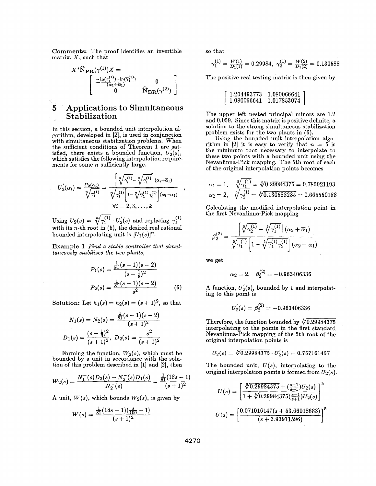Comments: The proof identifies an invertible matrix, *X,* such that

$$
X^*\widehat{\mathbf{N}}_{\mathbf{PR}}(\gamma^{(1)})X = \begin{bmatrix} \frac{-\ln(\gamma_1^{(1)}) - \ln(\overline{\gamma}_1^{(1)})}{(\alpha_1 + \overline{\alpha}_1)} & 0\\ 0 & \widehat{\mathbf{N}}_{\mathbf{BR}}(\gamma^{(2)}) \end{bmatrix}
$$

#### **5 Applications to Simultaneous Stabilization**

In this section, a bounded unit interpolation algorithm, developed in **[2],** is used in conjunction with simultaneous stabilization problems. When the sufficient conditions of Theorem **1** are,satisfied, there exists a bounded function,  $U_2(s)$ , which satisfies the following interpolation requirements for some *n* sufficiently large.

$$
U_2'(\alpha_i) = \frac{U_2(\alpha_i)}{\sqrt[n]{\gamma_1^{(1)}}} = \frac{\sqrt[n]{\gamma_1^{(1)}} - \sqrt[n]{\gamma_1^{(1)}} \cdot (\alpha_i + \overline{\alpha}_1)}{\sqrt[n]{\gamma_1^{(1)}} \cdot \sqrt[n]{\gamma_1^{(1)}} \cdot \sqrt[n]{\gamma_1^{(1)}} \cdot (\alpha_i - \alpha_1)}\n\\ \forall i = 2, 3, \ldots, k
$$
\nUsing  $U_2(s) = \sqrt[n]{\gamma_1^{(1)}} \cdot U_2'(s)$  and replacing  $\gamma_1^{(1)}$ 

\nwith its *n*-th root in (5), the desired real rational

bounded interpolating unit is  $[U_1(s)]^n$ .

Example 1 *Find a stable controller that simultaneously stabilizes the two plants,* 

$$
P_1(s) = \frac{\frac{1}{81}(s-1)(s-2)}{(s-\frac{1}{9})^2}
$$

$$
P_2(s) = \frac{\frac{1}{81}(s-1)(s-2)}{s^2}
$$
(6)

Solution: Let  $h_1(s) = h_2(s) = (s + 1)^2$ , so that

$$
N_1(s) = N_2(s) = \frac{\frac{1}{81}(s-1)(s-2)}{(s+1)^2}
$$
  

$$
D_1(s) = \frac{(s-\frac{1}{9})^2}{(s+1)^2}, D_2(s) = \frac{s^2}{(s+1)^2}
$$

Forming the function,  $W_2(s)$ , which must be bounded by a unit in accordance with the solution of this problem described in **[l]** and **[2],** then

$$
W_2(s)=\frac{N_1^-(s)D_2(s)-N_2^-(s)D_1(s)}{N_2^-(s)}=\frac{\frac{1}{81}(18s-1)}{(s+1)^2}
$$

A unit,  $W(s)$ , which bounds  $W_2(s)$ , is given by

$$
W(s) = \frac{\frac{1}{81}(18s+1)(\frac{s}{100}+1)}{(s+1)^2}
$$

so that

that  

$$
\gamma_1^{(1)} = \frac{W(1)}{D_1(1)} = 0.29984, \ \gamma_2^{(1)} = \frac{W(2)}{D_1(2)} = 0.130588
$$

The positive real testing matrix is then given by

$$
\left[ \begin{array}{cc} 1.204493773 & 1.080066641 \\ 1.080066641 & 1.017853074 \end{array} \right]
$$

The upper left nested principal minors are **1.2**  and **0.059.** Since this matrix is positive definite, a solution to the strong simultaneous stabilization problem exists for the two plants in **(6).** 

Using the bounded unit interpolation algorithm in  $\begin{bmatrix} 2 \end{bmatrix}$  it is easy to verify that  $n = 5$  is the minimum root necessary to interpolate to these two points with a bounded unit using the Nevanlinna-Pick mapping. The 5th root of each of the original interpolation points becomes

$$
\alpha_1 = 1, \quad \sqrt[5]{\gamma_1^{(1)}} = \sqrt[5]{0.29984375} = 0.785921193
$$
\n
$$
\alpha_2 = 2, \quad \sqrt[5]{\gamma_2^{(1)}} = \sqrt[5]{0.130588235} = 0.665550188
$$

Calculating the modified interpolation point in the first Nevanlinna-Pick mapping

$$
\beta_2^{(2)} = \frac{\left[\sqrt[5]{\gamma_2^{(1)}} - \sqrt[5]{\gamma_1^{(1)}}\right](\alpha_2 + \overline{\alpha}_1)}{\sqrt[5]{\gamma_1^{(1)}} \left[1 - \sqrt[5]{\overline{\gamma}_1^{(1)}} \gamma_2^{(1)}\right](\alpha_2 - \alpha_1)}
$$

we get

$$
\alpha_2=2, \quad \beta_2^{(2)}=-0.963406336
$$

A function,  $U_2(s)$ , bounded by 1 and interpolating to this point is

$$
U_2^{'}(s)=\beta_2^{(2)}=-0.963406336
$$

Therefore, the function bounded by  $\sqrt[6]{0.29984375}$ interpolating to the points in the first standard Nevanlinna-Pick mapping of the 5th root of the original interpolation points is

$$
U_2(s)=\sqrt[5]{0.29984375}\cdot U_2^{'}(s)=0.757161457
$$

The bounded unit, *U(s),* interpolating to the original interpolation points is formed from  $U_2(s)$ .

$$
U(s) = \left[\frac{\sqrt[5]{0.29984375} + (\frac{s-1}{s+1})U_2(s)}{1 + \sqrt[5]{0.29984375}(\frac{s-1}{s+1})U_2(s)}\right]^5
$$
  

$$
U(s) = \left[\frac{0.071016147(s+53.66018683)}{(s+3.93911596)}\right]^5
$$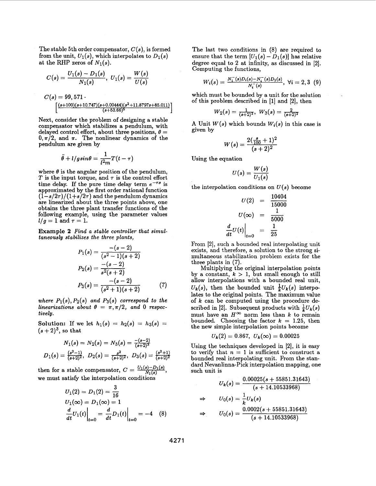The stable 5th order compensator, **C(s),** is formed from the unit,  $U_1(s)$ , which interpolates to  $D_1(s)$ at the RHP zeros of  $N_1(s)$ .

$$
C(s) = \frac{U_1(s) - D_1(s)}{N_1(s)}, \ U_1(s) = \frac{W(s)}{U(s)}
$$

$$
C(s) = 99,571 \cdot \left[ \frac{(s+100)(s+10.747)(s+0.00444)(s^2+11.8797s+85.011)}{(s+53.66)^5} \right]
$$

Next, consider the problem of designing a stable compensator which stabilizes a pendulum, with delayed control effort, about three positions,  $\theta =$  $0, \pi/2$ , and  $\pi$ . The nonlinear dynamics of the pendulum are given by

$$
\ddot{\theta}+l/gsin\theta=\frac{1}{l^2m}T(t-\tau)
$$

where  $\theta$  is the angular position of the pendulum, T is the input torque, and  $\tau$  is the control effort time delay. If the pure time delay term  $e^{-\tau s}$  is approximated by the first order rational function  $(\hat{1}-s/2\tau)/(1+s/2\tau)$  and the pendulum dynamics are linearized about the three points above, one obtains the three plant transfer functions of the following example, using the parameter values  $l/g = 1$  and  $\tau = 1$ .

**Example 2** *Find a stable controller that simul* $a$  *taneously stabilizes the three plants,*<br> $b(c) = \frac{-(s-2)}{c}$ 

$$
P_1(s) = \frac{-(s-2)}{(s^2-1)(s+2)}
$$
  
\n
$$
P_2(s) = \frac{-(s-2)}{s^2(s+2)}
$$
  
\n
$$
P_3(s) = \frac{-(s-2)}{(s^2+1)(s+2)}
$$
 (7)

*where*  $P_1(s)$ ,  $P_2(s)$  *and*  $P_3(s)$  *correspond to the linearizations about*  $\theta = \pi, \pi/2$ , and 0 *respectively.* 

**Solution:** If we let  $h_1(s) = h_2(s) = h_3(s) =$  $(s+2)^3$ , so that

$$
N_1(s) = N_2(s) = N_3(s) = \frac{-(s-2)}{(s+2)^3}
$$
  

$$
D_1(s) = \frac{(s^2-1)}{(s+2)^2}, \ D_2(s) = \frac{s^2}{(s+2)^2}, \ D_3(s) = \frac{(s^2+1)}{(s+2)^2}
$$

then for a stable compensator,  $C = \frac{U_1(s) - D_1(s)}{N_1(s)}$ ,

we must satisfy the interpolation conditions  
\n
$$
U_1(2) = D_1(2) = \frac{3}{16}
$$
\n
$$
U_1(\infty) = D_1(\infty) = 1
$$
\n
$$
\frac{d}{dt}U_1(t)\Big|_{t=0} = \frac{d}{dt}D_1(t)\Big|_{t=0} = -4
$$
\n(8)

The last two conditions in (8) are required to ensure that the term  $[U_1(s) - D_1(s)]$  has relative degree equal to **2** at infinity, as discussed in **[2].**  Computing the functions,

$$
W_i(s) = \frac{N_1^-(s)D_i(s) - N_i^-(s)D_1(s)}{N_i^-(s)}, \ \forall i = 2,3 \ \ (9)
$$

which must be bounded by a unit for the solution of this problem described in [l] and **[2],** then

$$
W_2(s) = \tfrac{1}{(s+2)^2}, \ W_3(s) = \tfrac{2}{(s+2)^2}
$$

A Unit  $W(s)$  which bounds  $W_i(s)$  in this case is given by

$$
W(s) = \frac{2(\frac{s}{100}+1)^2}{(s+2)^2}
$$

Using the equation

$$
U(s) = \frac{W(s)}{U_1(s)}
$$

Using the equation  
\n
$$
U(s) = \frac{W(s)}{U_1(s)}
$$
\nthe interpolation conditions on  $U(s)$  become  
\n
$$
U(2) = \frac{10404}{15000}
$$
\n
$$
U(\infty) = \frac{1}{5000}
$$
\n
$$
\frac{d}{dt}U(t)\Big|_{t=0} = \frac{1}{25}
$$

From **[2],** such a bounded real interpolating unit exists, and therefore, a solution to the strong simultaneous stabilization problem exists for the three plants in (7).

Multiplying the original interpolation points by a constant,  $k > 1$ , but small enough to still allow interpolations with a bounded real unit,  $U_k(s)$ , then the bounded unit  $\frac{1}{k}U_k(s)$  interpolates to the original points. The maximum value of *k* can be computed using the procedure de scribed in [2]. Subsequent products with  $\frac{1}{k}U_k(s)$ must have an  $H^{\infty}$  norm less than *k* to remain bounded. Choosing the factor  $k = 1.25$ , then the new simple interpolation points become

$$
U_k(2)=0.867, U_k(\infty)=0.00025
$$

Using the techniques developed in [2], it is easy to verify that  $n = 1$  is sufficient to construct a bounded real interpolating unit. From the standard Nevanlinna-Pick interpolation mapping, one such unit is

$$
U_k(s) = \frac{0.00025(s + 55851.31643)}{(s + 14.10533968)}
$$
  
\n
$$
\Rightarrow \qquad U_0(s) = \frac{1}{k} U_k(s)
$$
  
\n
$$
\Rightarrow \qquad U_0(s) = \frac{0.0002(s + 55851.31643)}{(s + 14.10533968)}
$$